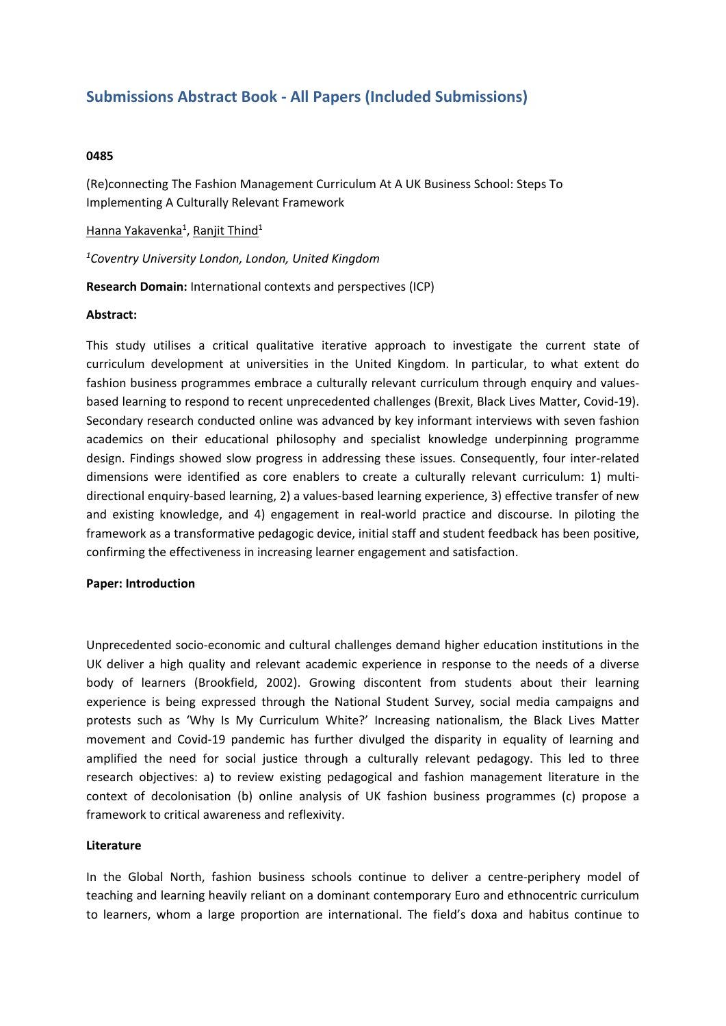# **Submissions Abstract Book - All Papers (Included Submissions)**

## **0485**

(Re)connecting The Fashion Management Curriculum At A UK Business School: Steps To Implementing A Culturally Relevant Framework

## <u>Hanna Yakavenka<sup>1</sup>, Ranjit Thind<sup>1</sup></u>

*1 Coventry University London, London, United Kingdom*

**Research Domain:** International contexts and perspectives (ICP)

### **Abstract:**

This study utilises <sup>a</sup> critical qualitative iterative approach to investigate the current state of curriculum development at universities in the United Kingdom. In particular, to what extent do fashion business programmes embrace <sup>a</sup> culturally relevant curriculum through enquiry and valuesbased learning to respond to recent unprecedented challenges (Brexit, Black Lives Matter, Covid-19). Secondary research conducted online was advanced by key informant interviews with seven fashion academics on their educational philosophy and specialist knowledge underpinning programme design. Findings showed slow progress in addressing these issues. Consequently, four inter-related dimensions were identified as core enablers to create <sup>a</sup> culturally relevant curriculum: 1) multidirectional enquiry-based learning, 2) <sup>a</sup> values-based learning experience, 3) effective transfer of new and existing knowledge, and 4) engagement in real-world practice and discourse. In piloting the framework as <sup>a</sup> transformative pedagogic device, initial staff and student feedback has been positive, confirming the effectiveness in increasing learner engagement and satisfaction.

#### **Paper: Introduction**

Unprecedented socio-economic and cultural challenges demand higher education institutions in the UK deliver <sup>a</sup> high quality and relevant academic experience in response to the needs of <sup>a</sup> diverse body of learners (Brookfield, 2002). Growing discontent from students about their learning experience is being expressed through the National Student Survey, social media campaigns and protests such as 'Why Is My Curriculum White?' Increasing nationalism, the Black Lives Matter movement and Covid-19 pandemic has further divulged the disparity in equality of learning and amplified the need for social justice through <sup>a</sup> culturally relevant pedagogy. This led to three research objectives: a) to review existing pedagogical and fashion management literature in the context of decolonisation (b) online analysis of UK fashion business programmes (c) propose <sup>a</sup> framework to critical awareness and reflexivity.

#### **Literature**

In the Global North, fashion business schools continue to deliver <sup>a</sup> centre-periphery model of teaching and learning heavily reliant on <sup>a</sup> dominant contemporary Euro and ethnocentric curriculum to learners, whom <sup>a</sup> large proportion are international. The field's doxa and habitus continue to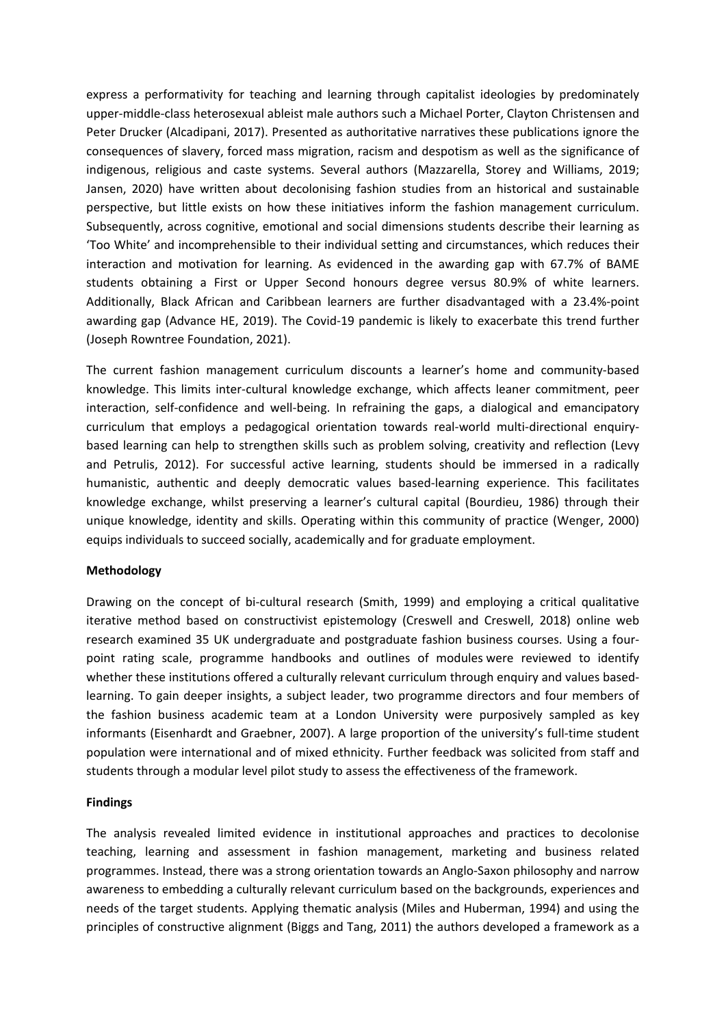express <sup>a</sup> performativity for teaching and learning through capitalist ideologies by predominately upper-middle-class heterosexual ableist male authors such <sup>a</sup> Michael Porter, Clayton Christensen and Peter Drucker (Alcadipani, 2017). Presented as authoritative narratives these publications ignore the consequences of slavery, forced mass migration, racism and despotism as well as the significance of indigenous, religious and caste systems. Several authors (Mazzarella, Storey and Williams, 2019; Jansen, 2020) have written about decolonising fashion studies from an historical and sustainable perspective, but little exists on how these initiatives inform the fashion management curriculum. Subsequently, across cognitive, emotional and social dimensions students describe their learning as 'Too White' and incomprehensible to their individual setting and circumstances, which reduces their interaction and motivation for learning. As evidenced in the awarding gap with 67.7% of BAME students obtaining <sup>a</sup> First or Upper Second honours degree versus 80.9% of white learners. Additionally, Black African and Caribbean learners are further disadvantaged with <sup>a</sup> 23.4%-point awarding gap (Advance HE, 2019). The Covid-19 pandemic is likely to exacerbate this trend further (Joseph Rowntree Foundation, 2021).

The current fashion management curriculum discounts <sup>a</sup> learner's home and community-based knowledge. This limits inter-cultural knowledge exchange, which affects leaner commitment, peer interaction, self-confidence and well-being. In refraining the gaps, <sup>a</sup> dialogical and emancipatory curriculum that employs <sup>a</sup> pedagogical orientation towards real-world multi-directional enquirybased learning can help to strengthen skills such as problem solving, creativity and reflection (Levy and Petrulis, 2012). For successful active learning, students should be immersed in <sup>a</sup> radically humanistic, authentic and deeply democratic values based-learning experience. This facilitates knowledge exchange, whilst preserving <sup>a</sup> learner's cultural capital (Bourdieu, 1986) through their unique knowledge, identity and skills. Operating within this community of practice (Wenger, 2000) equips individuals to succeed socially, academically and for graduate employment.

## **Methodology**

Drawing on the concept of bi-cultural research (Smith, 1999) and employing <sup>a</sup> critical qualitative iterative method based on constructivist epistemology (Creswell and Creswell, 2018) online web research examined 35 UK undergraduate and postgraduate fashion business courses. Using <sup>a</sup> fourpoint rating scale, programme handbooks and outlines of modules were reviewed to identify whether these institutions offered <sup>a</sup> culturally relevant curriculum through enquiry and values basedlearning. To gain deeper insights, <sup>a</sup> subject leader, two programme directors and four members of the fashion business academic team at <sup>a</sup> London University were purposively sampled as key informants (Eisenhardt and Graebner, 2007). A large proportion of the university's full-time student population were international and of mixed ethnicity. Further feedback was solicited from staff and students through <sup>a</sup> modular level pilot study to assess the effectiveness of the framework.

## **Findings**

The analysis revealed limited evidence in institutional approaches and practices to decolonise teaching, learning and assessment in fashion management, marketing and business related programmes. Instead, there was <sup>a</sup> strong orientation towards an Anglo-Saxon philosophy and narrow awareness to embedding <sup>a</sup> culturally relevant curriculum based on the backgrounds, experiences and needs of the target students. Applying thematic analysis (Miles and Huberman, 1994) and using the principles of constructive alignment (Biggs and Tang, 2011) the authors developed <sup>a</sup> framework as <sup>a</sup>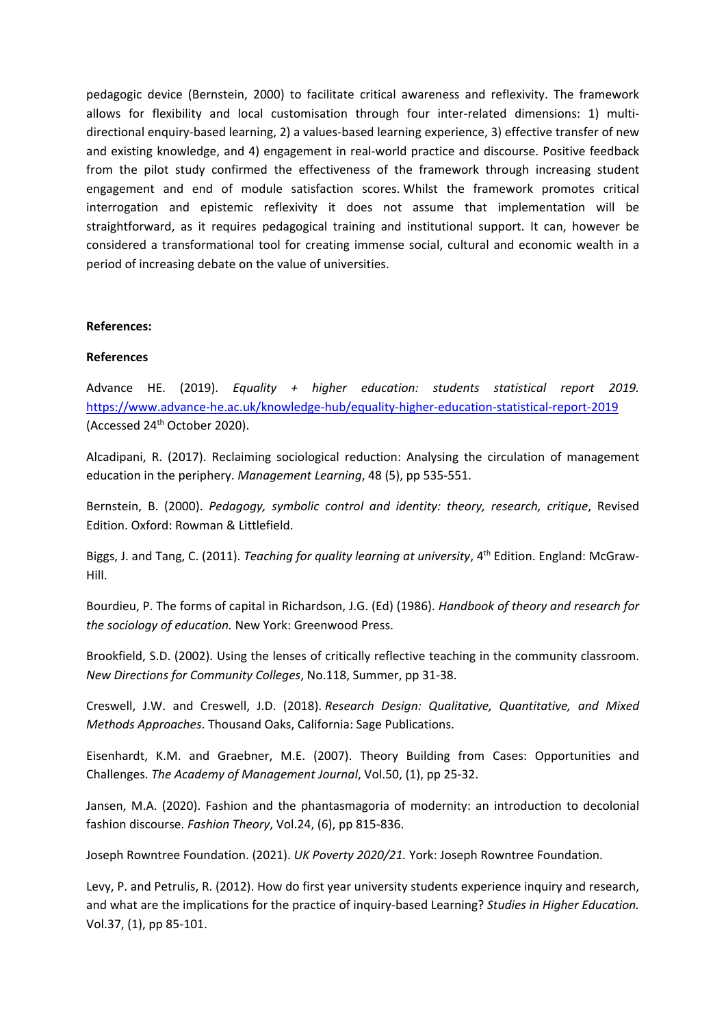pedagogic device (Bernstein, 2000) to facilitate critical awareness and reflexivity. The framework allows for flexibility and local customisation through four inter-related dimensions: 1) multidirectional enquiry-based learning, 2) <sup>a</sup> values-based learning experience, 3) effective transfer of new and existing knowledge, and 4) engagement in real-world practice and discourse. Positive feedback from the pilot study confirmed the effectiveness of the framework through increasing student engagement and end of module satisfaction scores. Whilst the framework promotes critical interrogation and epistemic reflexivity it does not assume that implementation will be straightforward, as it requires pedagogical training and institutional support. It can, however be considered <sup>a</sup> transformational tool for creating immense social, cultural and economic wealth in <sup>a</sup> period of increasing debate on the value of universities.

#### **References:**

#### **References**

Advance HE. (2019). *Equality <sup>+</sup> higher education: students statistical report 2019.* <https://www.advance-he.ac.uk/knowledge-hub/equality-higher-education-statistical-report-2019> (Accessed 24<sup>th</sup> October 2020).

Alcadipani, R. (2017). Reclaiming sociological reduction: Analysing the circulation of management education in the periphery. *Management Learning*, 48 (5), pp 535-551.

Bernstein, B. (2000). *Pedagogy, symbolic control and identity: theory, research, critique*, Revised Edition. Oxford: Rowman & Littlefield.

Biggs, J. and Tang, C. (2011). *Teaching for quality learning at university*, <sup>4</sup>th Edition. England: McGraw-Hill.

Bourdieu, P. The forms of capital in Richardson, J.G. (Ed) (1986). *Handbook of theory and research for the sociology of education.* New York: Greenwood Press.

Brookfield, S.D. (2002). Using the lenses of critically reflective teaching in the community classroom. *New Directions for Community Colleges*, No.118, Summer, pp 31-38.

Creswell, J.W. and Creswell, J.D. (2018). *Research Design: Qualitative, Quantitative, and Mixed Methods Approaches*. Thousand Oaks, California: Sage Publications.

Eisenhardt, K.M. and Graebner, M.E. (2007). Theory Building from Cases: Opportunities and Challenges. *The Academy of Management Journal*, Vol.50, (1), pp 25-32.

Jansen, M.A. (2020). Fashion and the phantasmagoria of modernity: an introduction to decolonial fashion discourse. *Fashion Theory*, Vol.24, (6), pp 815-836.

Joseph Rowntree Foundation. (2021). *UK Poverty 2020/21.* York: Joseph Rowntree Foundation.

Levy, P. and Petrulis, R. (2012). How do first year university students experience inquiry and research, and what are the implications for the practice of inquiry-based Learning? *Studies in Higher Education.* Vol.37, (1), pp 85-101.